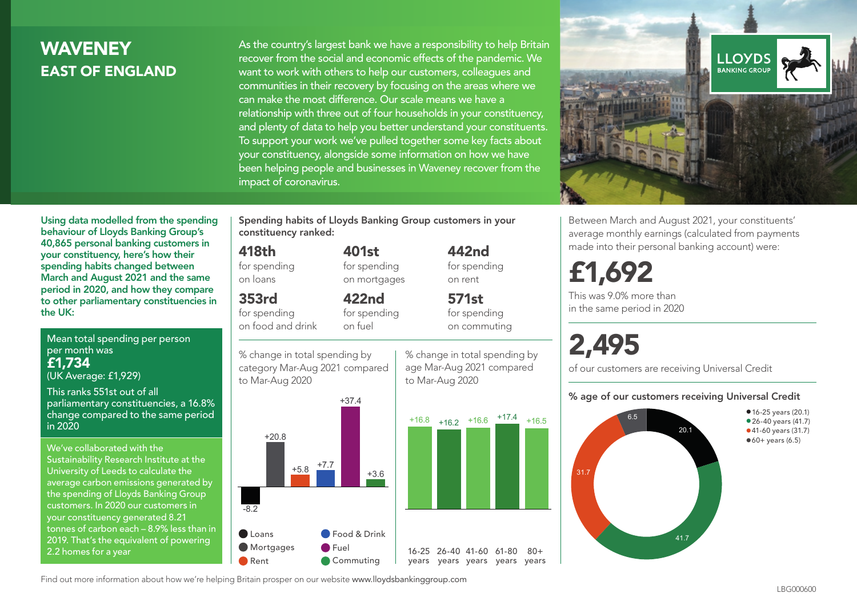# **WAVENEY** EAST OF ENGLAND

As the country's largest bank we have a responsibility to help Britain recover from the social and economic effects of the pandemic. We want to work with others to help our customers, colleagues and communities in their recovery by focusing on the areas where we can make the most difference. Our scale means we have a relationship with three out of four households in your constituency, and plenty of data to help you better understand your constituents. To support your work we've pulled together some key facts about your constituency, alongside some information on how we have been helping people and businesses in Waveney recover from the impact of coronavirus.



Between March and August 2021, your constituents' average monthly earnings (calculated from payments made into their personal banking account) were:

# £1,692

This was 9.0% more than in the same period in 2020

# 2,495

of our customers are receiving Universal Credit

#### % age of our customers receiving Universal Credit



Mean total spending per person per month was £1,734

(UK Average: £1,929)

the UK:

This ranks 551st out of all parliamentary constituencies, a 16.8% change compared to the same period in 2020

Using data modelled from the spending behaviour of Lloyds Banking Group's 40,865 personal banking customers in your constituency, here's how their spending habits changed between March and August 2021 and the same period in 2020, and how they compare to other parliamentary constituencies in

We've collaborated with the Sustainability Research Institute at the University of Leeds to calculate the average carbon emissions generated by the spending of Lloyds Banking Group customers. In 2020 our customers in your constituency generated 8.21 tonnes of carbon each – 8.9% less than in 2019. That's the equivalent of powering 2.2 homes for a year

Spending habits of Lloyds Banking Group customers in your constituency ranked:

> 401st for spending on mortgages

422nd for spending

#### 418th

for spending on loans

#### 353rd

for spending on food and drink

% change in total spending by on fuel

category Mar-Aug 2021 compared to Mar-Aug 2020



% change in total spending by age Mar-Aug 2021 compared to Mar-Aug 2020

 $80+$ 



442nd for spending